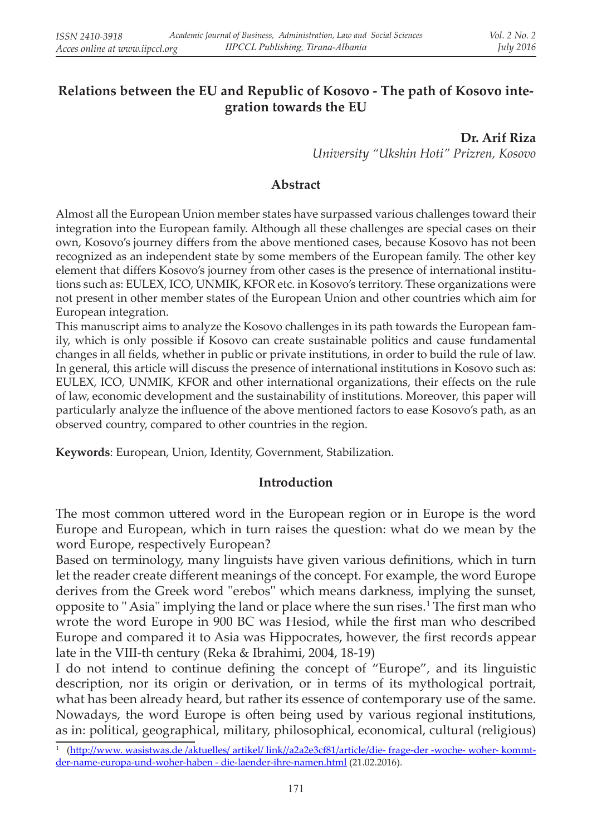# **Relations between the EU and Republic of Kosovo - The path of Kosovo integration towards the EU**

**Dr. Arif Riza** *University "Ukshin Hoti" Prizren, Kosovo*

## **Abstract**

Almost all the European Union member states have surpassed various challenges toward their integration into the European family. Although all these challenges are special cases on their own, Kosovo's journey differs from the above mentioned cases, because Kosovo has not been recognized as an independent state by some members of the European family. The other key element that differs Kosovo's journey from other cases is the presence of international institutions such as: EULEX, ICO, UNMIK, KFOR etc. in Kosovo's territory. These organizations were not present in other member states of the European Union and other countries which aim for European integration.

This manuscript aims to analyze the Kosovo challenges in its path towards the European family, which is only possible if Kosovo can create sustainable politics and cause fundamental changes in all fields, whether in public or private institutions, in order to build the rule of law. In general, this article will discuss the presence of international institutions in Kosovo such as: EULEX, ICO, UNMIK, KFOR and other international organizations, their effects on the rule of law, economic development and the sustainability of institutions. Moreover, this paper will particularly analyze the influence of the above mentioned factors to ease Kosovo's path, as an observed country, compared to other countries in the region.

**Keywords**: European, Union, Identity, Government, Stabilization.

#### **Introduction**

The most common uttered word in the European region or in Europe is the word Europe and European, which in turn raises the question: what do we mean by the word Europe, respectively European?

Based on terminology, many linguists have given various definitions, which in turn let the reader create different meanings of the concept. For example, the word Europe derives from the Greek word ''erebos'' which means darkness, implying the sunset, opposite to '' Asia'' implying the land or place where the sun rises. 1 The first man who wrote the word Europe in 900 BC was Hesiod, while the first man who described Europe and compared it to Asia was Hippocrates, however, the first records appear late in the VIII-th century (Reka & Ibrahimi, 2004, 18-19)

I do not intend to continue defining the concept of "Europe", and its linguistic description, nor its origin or derivation, or in terms of its mythological portrait, what has been already heard, but rather its essence of contemporary use of the same. Nowadays, the word Europe is often being used by various regional institutions, as in: political, geographical, military, philosophical, economical, cultural (religious)

<sup>1</sup> (http://www. wasistwas.de /aktuelles/ artikel/ link//a2a2e3cf81/article/die- frage-der -woche- woher- kommtder-name-europa-und-woher-haben - die-laender-ihre-namen.html (21.02.2016).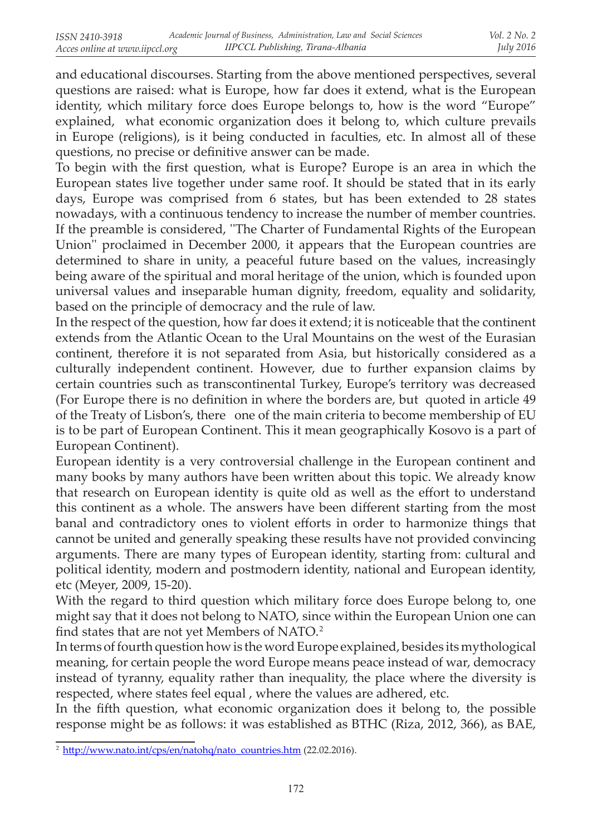and educational discourses. Starting from the above mentioned perspectives, several questions are raised: what is Europe, how far does it extend, what is the European identity, which military force does Europe belongs to, how is the word "Europe" explained, what economic organization does it belong to, which culture prevails in Europe (religions), is it being conducted in faculties, etc. In almost all of these questions, no precise or definitive answer can be made.

To begin with the first question, what is Europe? Europe is an area in which the European states live together under same roof. It should be stated that in its early days, Europe was comprised from 6 states, but has been extended to 28 states nowadays, with a continuous tendency to increase the number of member countries. If the preamble is considered, ''The Charter of Fundamental Rights of the European Union'' proclaimed in December 2000, it appears that the European countries are determined to share in unity, a peaceful future based on the values, increasingly being aware of the spiritual and moral heritage of the union, which is founded upon universal values and inseparable human dignity, freedom, equality and solidarity, based on the principle of democracy and the rule of law.

In the respect of the question, how far does it extend; it is noticeable that the continent extends from the Atlantic Ocean to the Ural Mountains on the west of the Eurasian continent, therefore it is not separated from Asia, but historically considered as a culturally independent continent. However, due to further expansion claims by certain countries such as transcontinental Turkey, Europe's territory was decreased (For Europe there is no definition in where the borders are, but quoted in article 49 of the Treaty of Lisbon's, there one of the main criteria to become membership of EU is to be part of European Continent. This it mean geographically Kosovo is a part of European Continent).

European identity is a very controversial challenge in the European continent and many books by many authors have been written about this topic. We already know that research on European identity is quite old as well as the effort to understand this continent as a whole. The answers have been different starting from the most banal and contradictory ones to violent efforts in order to harmonize things that cannot be united and generally speaking these results have not provided convincing arguments. There are many types of European identity, starting from: cultural and political identity, modern and postmodern identity, national and European identity, etc (Meyer, 2009, 15-20).

With the regard to third question which military force does Europe belong to, one might say that it does not belong to NATO, since within the European Union one can find states that are not yet Members of NATO. 2

In terms of fourth question how is the word Europe explained, besides its mythological meaning, for certain people the word Europe means peace instead of war, democracy instead of tyranny, equality rather than inequality, the place where the diversity is respected, where states feel equal , where the values are adhered, etc.

In the fifth question, what economic organization does it belong to, the possible response might be as follows: it was established as BTHC (Riza, 2012, 366), as BAE,

<sup>&</sup>lt;sup>2</sup> http://www.nato.int/cps/en/natohq/nato\_countries.htm (22.02.2016).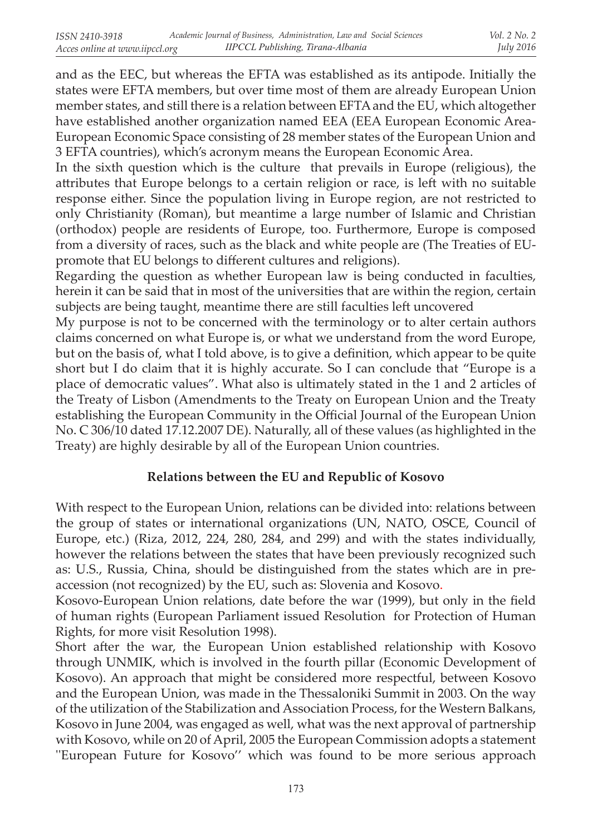and as the EEC, but whereas the EFTA was established as its antipode. Initially the states were EFTA members, but over time most of them are already European Union member states, and still there is a relation between EFTA and the EU, which altogether have established another organization named EEA (EEA European Economic Area-European Economic Space consisting of 28 member states of the European Union and 3 EFTA countries), which's acronym means the European Economic Area.

In the sixth question which is the culture that prevails in Europe (religious), the attributes that Europe belongs to a certain religion or race, is left with no suitable response either. Since the population living in Europe region, are not restricted to only Christianity (Roman), but meantime a large number of Islamic and Christian (orthodox) people are residents of Europe, too. Furthermore, Europe is composed from a diversity of races, such as the black and white people are (The Treaties of EUpromote that EU belongs to different cultures and religions).

Regarding the question as whether European law is being conducted in faculties, herein it can be said that in most of the universities that are within the region, certain subjects are being taught, meantime there are still faculties left uncovered

My purpose is not to be concerned with the terminology or to alter certain authors claims concerned on what Europe is, or what we understand from the word Europe, but on the basis of, what I told above, is to give a definition, which appear to be quite short but I do claim that it is highly accurate. So I can conclude that "Europe is a place of democratic values". What also is ultimately stated in the 1 and 2 articles of the Treaty of Lisbon (Amendments to the Treaty on European Union and the Treaty establishing the European Community in the Official Journal of the European Union No. C 306/10 dated 17.12.2007 DE). Naturally, all of these values (as highlighted in the Treaty) are highly desirable by all of the European Union countries.

# **Relations between the EU and Republic of Kosovo**

With respect to the European Union, relations can be divided into: relations between the group of states or international organizations (UN, NATO, OSCE, Council of Europe, etc.) (Riza, 2012, 224, 280, 284, and 299) and with the states individually, however the relations between the states that have been previously recognized such as: U.S., Russia, China, should be distinguished from the states which are in preaccession (not recognized) by the EU, such as: Slovenia and Kosovo.

Kosovo-European Union relations, date before the war (1999), but only in the field of human rights (European Parliament issued Resolution for Protection of Human Rights, for more visit Resolution 1998).

Short after the war, the European Union established relationship with Kosovo through UNMIK, which is involved in the fourth pillar (Economic Development of Kosovo). An approach that might be considered more respectful, between Kosovo and the European Union, was made in the Thessaloniki Summit in 2003. On the way of the utilization of the Stabilization and Association Process, for the Western Balkans, Kosovo in June 2004, was engaged as well, what was the next approval of partnership with Kosovo, while on 20 of April, 2005 the European Commission adopts a statement "European Future for Kosovo" which was found to be more serious approach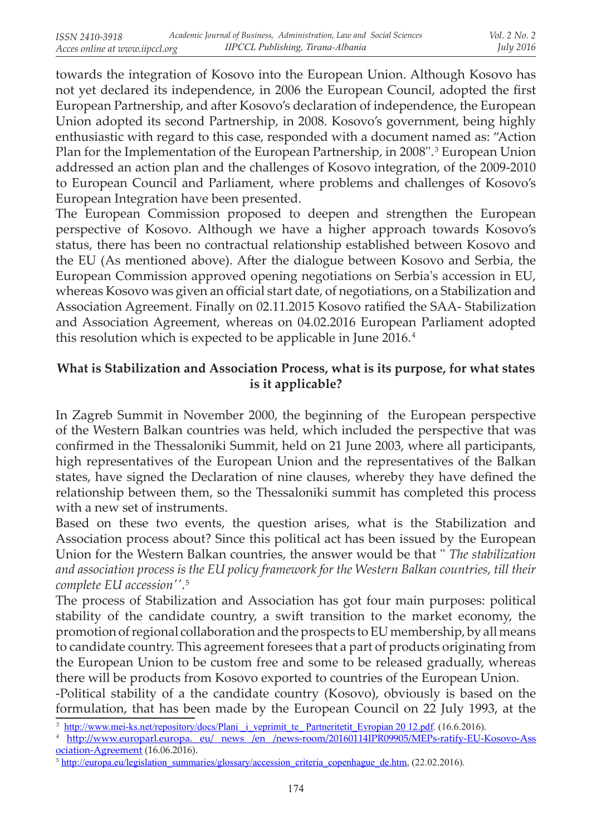towards the integration of Kosovo into the European Union. Although Kosovo has not yet declared its independence, in 2006 the European Council, adopted the first European Partnership, and after Kosovo's declaration of independence, the European Union adopted its second Partnership, in 2008. Kosovo's government, being highly enthusiastic with regard to this case, responded with a document named as: "Action Plan for the Implementation of the European Partnership, in 2008".<sup>3</sup> European Union addressed an action plan and the challenges of Kosovo integration, of the 2009-2010 to European Council and Parliament, where problems and challenges of Kosovo's European Integration have been presented.

The European Commission proposed to deepen and strengthen the European perspective of Kosovo. Although we have a higher approach towards Kosovo's status, there has been no contractual relationship established between Kosovo and the EU (As mentioned above). After the dialogue between Kosovo and Serbia, the European Commission approved opening negotiations on Serbia's accession in EU, whereas Kosovo was given an official start date, of negotiations, on a Stabilization and Association Agreement. Finally on 02.11.2015 Kosovo ratified the SAA- Stabilization and Association Agreement, whereas on 04.02.2016 European Parliament adopted this resolution which is expected to be applicable in June 2016.<sup>4</sup>

## **What is Stabilization and Association Process, what is its purpose, for what states is it applicable?**

In Zagreb Summit in November 2000, the beginning of the European perspective of the Western Balkan countries was held, which included the perspective that was confirmed in the Thessaloniki Summit, held on 21 June 2003, where all participants, high representatives of the European Union and the representatives of the Balkan states, have signed the Declaration of nine clauses, whereby they have defined the relationship between them, so the Thessaloniki summit has completed this process with a new set of instruments.

Based on these two events, the question arises, what is the Stabilization and Association process about? Since this political act has been issued by the European Union for the Western Balkan countries, the answer would be that '' *The stabilization and association process is the EU policy framework for the Western Balkan countries, till their complete EU accession''*.  5

The process of Stabilization and Association has got four main purposes: political stability of the candidate country, a swift transition to the market economy, the promotion of regional collaboration and the prospects to EU membership, by all means to candidate country. This agreement foresees that a part of products originating from the European Union to be custom free and some to be released gradually, whereas there will be products from Kosovo exported to countries of the European Union.

-Political stability of a the candidate country (Kosovo), obviously is based on the formulation, that has been made by the European Council on 22 July 1993, at the

http://www.mei-ks.net/repository/docs/Plani\_i\_veprimit\_te\_ Partneritetit\_Evropian 20 12.pdf. (16.6.2016).

<sup>4</sup> http://www.europarl.europa. eu/ news /en /news-room/20160114IPR09905/MEPs-ratify-EU-Kosovo-Ass ociation-Agreement (16.06.2016).

<sup>&</sup>lt;sup>5</sup> http://europa.eu/legislation\_summaries/glossary/accession\_criteria\_copenhague\_de.htm, (22.02.2016).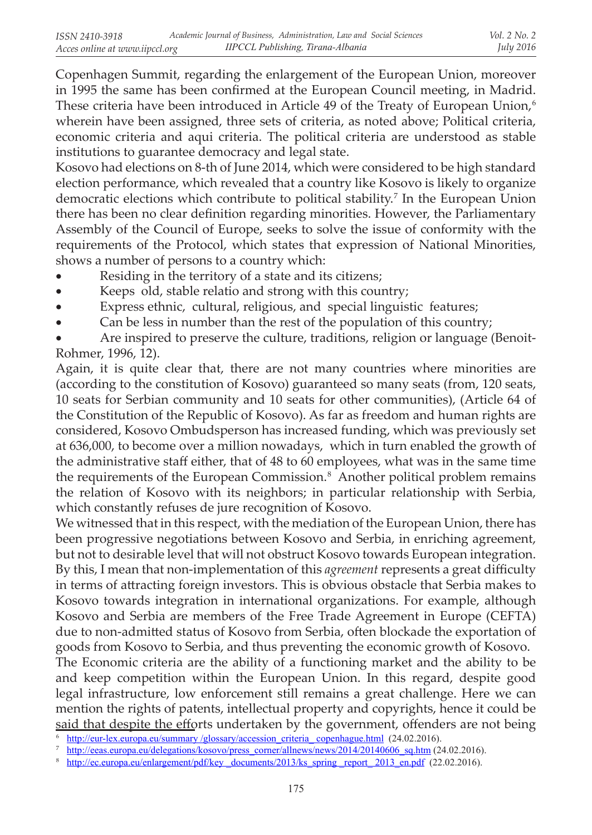Copenhagen Summit, regarding the enlargement of the European Union, moreover in 1995 the same has been confirmed at the European Council meeting, in Madrid. These criteria have been introduced in Article 49 of the Treaty of European Union, $6$ wherein have been assigned, three sets of criteria, as noted above; Political criteria, economic criteria and aqui criteria. The political criteria are understood as stable institutions to guarantee democracy and legal state.

Kosovo had elections on 8-th of June 2014, which were considered to be high standard election performance, which revealed that a country like Kosovo is likely to organize democratic elections which contribute to political stability.<sup>7</sup> In the European Union there has been no clear definition regarding minorities. However, the Parliamentary Assembly of the Council of Europe, seeks to solve the issue of conformity with the requirements of the Protocol, which states that expression of National Minorities, shows a number of persons to a country which:

- Residing in the territory of a state and its citizens;
- Keeps old, stable relatio and strong with this country;
- Express ethnic, cultural, religious, and special linguistic features;
- Can be less in number than the rest of the population of this country;

Are inspired to preserve the culture, traditions, religion or language (Benoit-Rohmer, 1996, 12).

Again, it is quite clear that, there are not many countries where minorities are (according to the constitution of Kosovo) guaranteed so many seats (from, 120 seats, 10 seats for Serbian community and 10 seats for other communities), (Article 64 of the Constitution of the Republic of Kosovo). As far as freedom and human rights are considered, Kosovo Ombudsperson has increased funding, which was previously set at 636,000, to become over a million nowadays, which in turn enabled the growth of the administrative staff either, that of 48 to 60 employees, what was in the same time the requirements of the European Commission.<sup>8</sup> Another political problem remains the relation of Kosovo with its neighbors; in particular relationship with Serbia, which constantly refuses de jure recognition of Kosovo.

We witnessed that in this respect, with the mediation of the European Union, there has been progressive negotiations between Kosovo and Serbia, in enriching agreement, but not to desirable level that will not obstruct Kosovo towards European integration. By this, I mean that non-implementation of this *agreement* represents a great difficulty in terms of attracting foreign investors. This is obvious obstacle that Serbia makes to Kosovo towards integration in international organizations. For example, although Kosovo and Serbia are members of the Free Trade Agreement in Europe (CEFTA) due to non-admitted status of Kosovo from Serbia, often blockade the exportation of goods from Kosovo to Serbia, and thus preventing the economic growth of Kosovo.

The Economic criteria are the ability of a functioning market and the ability to be and keep competition within the European Union. In this regard, despite good legal infrastructure, low enforcement still remains a great challenge. Here we can mention the rights of patents, intellectual property and copyrights, hence it could be said that despite the efforts undertaken by the government, offenders are not being

<sup>7</sup> http://eeas.europa.eu/delegations/kosovo/press\_corner/allnews/news/2014/20140606\_sq.htm (24.02.2016).

<sup>&</sup>lt;sup>6</sup> http://eur-lex.europa.eu/summary /glossary/accession\_criteria\_copenhague.html (24.02.2016).

<sup>8</sup> http://ec.europa.eu/enlargement/pdf/key documents/2013/ks spring report 2013 en.pdf (22.02.2016).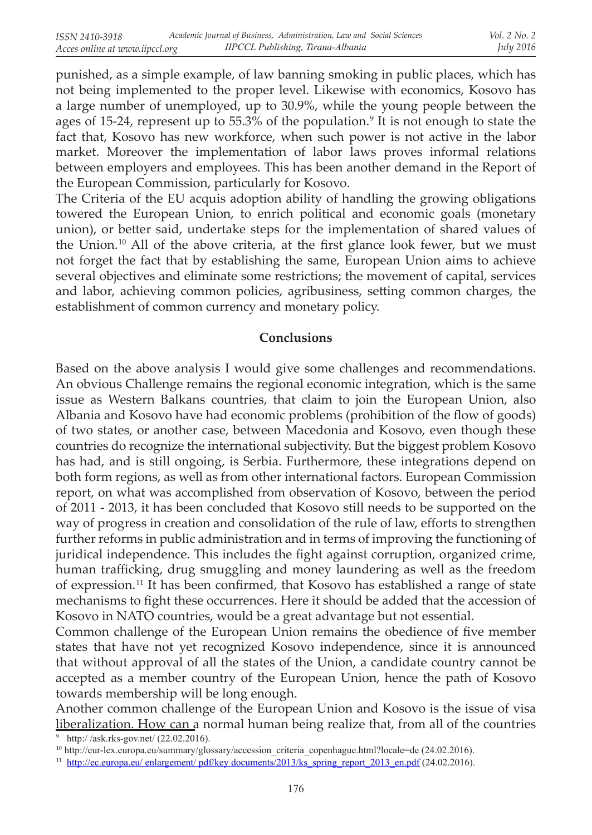punished, as a simple example, of law banning smoking in public places, which has not being implemented to the proper level. Likewise with economics, Kosovo has a large number of unemployed, up to 30.9%, while the young people between the ages of 15-24, represent up to  $55.3\%$  of the population.<sup>9</sup> It is not enough to state the fact that, Kosovo has new workforce, when such power is not active in the labor market. Moreover the implementation of labor laws proves informal relations between employers and employees. This has been another demand in the Report of the European Commission, particularly for Kosovo.

The Criteria of the EU acquis adoption ability of handling the growing obligations towered the European Union, to enrich political and economic goals (monetary union), or better said, undertake steps for the implementation of shared values of the Union.<sup>10</sup> All of the above criteria, at the first glance look fewer, but we must not forget the fact that by establishing the same, European Union aims to achieve several objectives and eliminate some restrictions; the movement of capital, services and labor, achieving common policies, agribusiness, setting common charges, the establishment of common currency and monetary policy.

#### **Conclusions**

Based on the above analysis I would give some challenges and recommendations. An obvious Challenge remains the regional economic integration, which is the same issue as Western Balkans countries, that claim to join the European Union, also Albania and Kosovo have had economic problems (prohibition of the flow of goods) of two states, or another case, between Macedonia and Kosovo, even though these countries do recognize the international subjectivity. But the biggest problem Kosovo has had, and is still ongoing, is Serbia. Furthermore, these integrations depend on both form regions, as well as from other international factors. European Commission report, on what was accomplished from observation of Kosovo, between the period of 2011 - 2013, it has been concluded that Kosovo still needs to be supported on the way of progress in creation and consolidation of the rule of law, efforts to strengthen further reforms in public administration and in terms of improving the functioning of juridical independence. This includes the fight against corruption, organized crime, human trafficking, drug smuggling and money laundering as well as the freedom of expression. 11 It has been confirmed, that Kosovo has established a range of state mechanisms to fight these occurrences. Here it should be added that the accession of Kosovo in NATO countries, would be a great advantage but not essential.

Common challenge of the European Union remains the obedience of five member states that have not yet recognized Kosovo independence, since it is announced that without approval of all the states of the Union, a candidate country cannot be accepted as a member country of the European Union, hence the path of Kosovo towards membership will be long enough.

Another common challenge of the European Union and Kosovo is the issue of visa liberalization. How can a normal human being realize that, from all of the countries

<sup>9</sup> http:/ /ask.rks-gov.net/ (22.02.2016).

<sup>10</sup> http://eur-lex.europa.eu/summary/glossary/accession\_criteria\_copenhague.html?locale=de (24.02.2016).

<sup>&</sup>lt;sup>11</sup> http://ec.europa.eu/ enlargement/ pdf/key documents/2013/ks\_spring\_report\_2013\_en.pdf (24.02.2016).